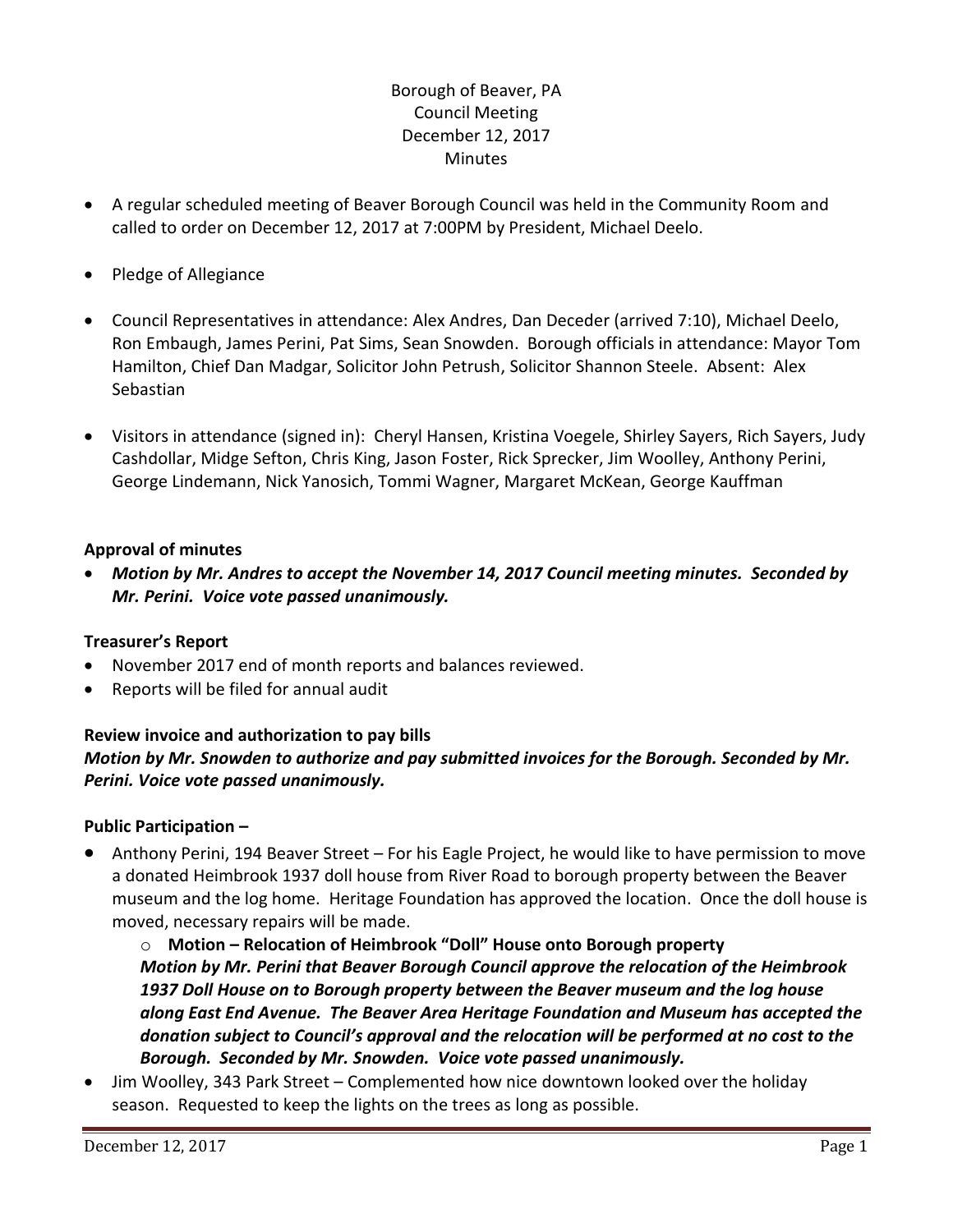# Borough of Beaver, PA Council Meeting December 12, 2017 **Minutes**

- A regular scheduled meeting of Beaver Borough Council was held in the Community Room and called to order on December 12, 2017 at 7:00PM by President, Michael Deelo.
- Pledge of Allegiance
- Council Representatives in attendance: Alex Andres, Dan Deceder (arrived 7:10), Michael Deelo, Ron Embaugh, James Perini, Pat Sims, Sean Snowden. Borough officials in attendance: Mayor Tom Hamilton, Chief Dan Madgar, Solicitor John Petrush, Solicitor Shannon Steele. Absent: Alex Sebastian
- Visitors in attendance (signed in): Cheryl Hansen, Kristina Voegele, Shirley Sayers, Rich Sayers, Judy Cashdollar, Midge Sefton, Chris King, Jason Foster, Rick Sprecker, Jim Woolley, Anthony Perini, George Lindemann, Nick Yanosich, Tommi Wagner, Margaret McKean, George Kauffman

# **Approval of minutes**

 *Motion by Mr. Andres to accept the November 14, 2017 Council meeting minutes. Seconded by Mr. Perini. Voice vote passed unanimously.* 

# **Treasurer's Report**

- November 2017 end of month reports and balances reviewed.
- Reports will be filed for annual audit

# **Review invoice and authorization to pay bills** *Motion by Mr. Snowden to authorize and pay submitted invoices for the Borough. Seconded by Mr. Perini. Voice vote passed unanimously.*

# **Public Participation –**

 Anthony Perini, 194 Beaver Street – For his Eagle Project, he would like to have permission to move a donated Heimbrook 1937 doll house from River Road to borough property between the Beaver museum and the log home. Heritage Foundation has approved the location. Once the doll house is moved, necessary repairs will be made.

o **Motion – Relocation of Heimbrook "Doll" House onto Borough property** *Motion by Mr. Perini that Beaver Borough Council approve the relocation of the Heimbrook 1937 Doll House on to Borough property between the Beaver museum and the log house along East End Avenue. The Beaver Area Heritage Foundation and Museum has accepted the donation subject to Council's approval and the relocation will be performed at no cost to the Borough. Seconded by Mr. Snowden. Voice vote passed unanimously.*

 Jim Woolley, 343 Park Street – Complemented how nice downtown looked over the holiday season. Requested to keep the lights on the trees as long as possible.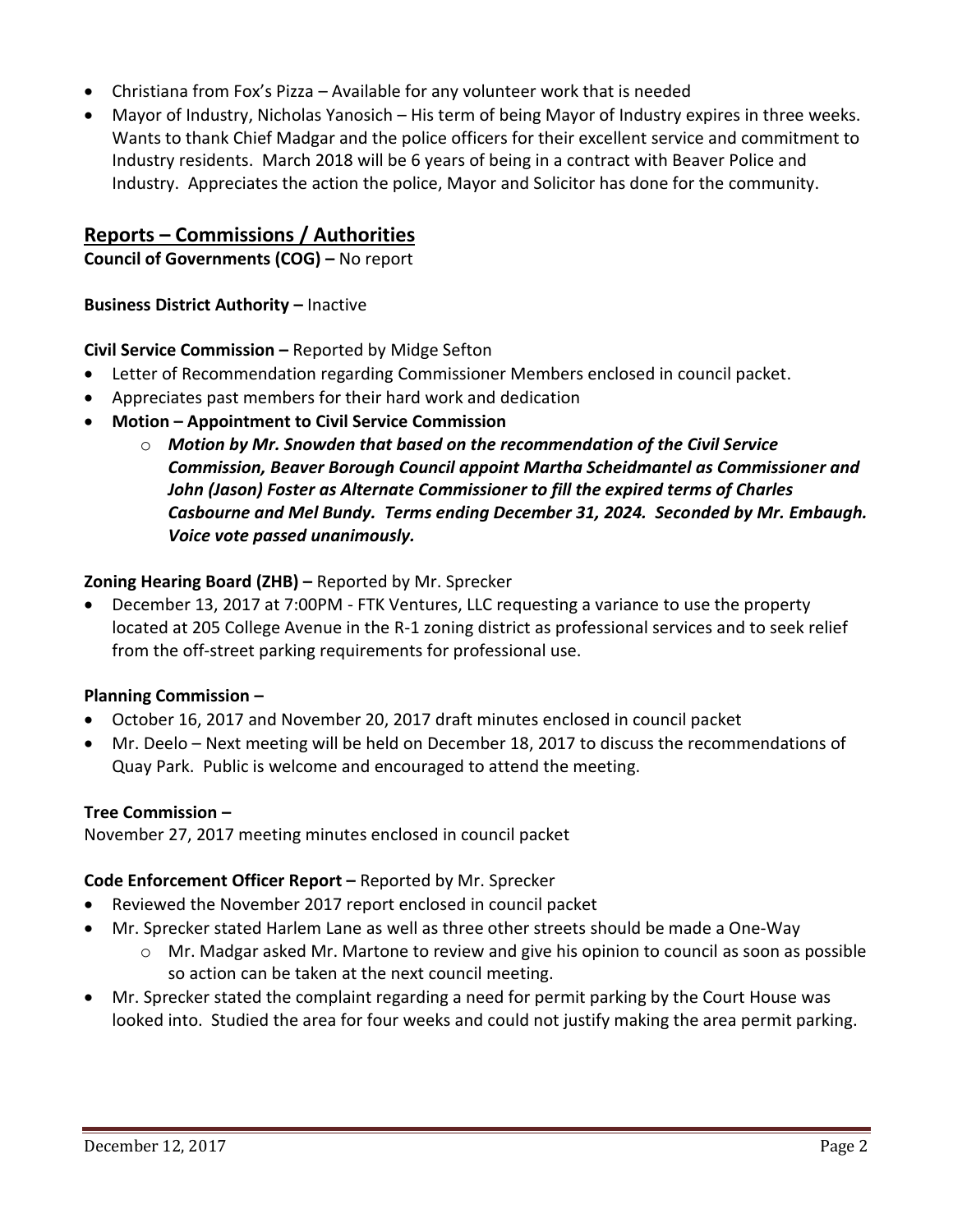- Christiana from Fox's Pizza Available for any volunteer work that is needed
- Mayor of Industry, Nicholas Yanosich His term of being Mayor of Industry expires in three weeks. Wants to thank Chief Madgar and the police officers for their excellent service and commitment to Industry residents. March 2018 will be 6 years of being in a contract with Beaver Police and Industry. Appreciates the action the police, Mayor and Solicitor has done for the community.

# **Reports – Commissions / Authorities**

**Council of Governments (COG) –** No report

**Business District Authority - Inactive** 

# **Civil Service Commission –** Reported by Midge Sefton

- Letter of Recommendation regarding Commissioner Members enclosed in council packet.
- Appreciates past members for their hard work and dedication
- **Motion – Appointment to Civil Service Commission** 
	- o *Motion by Mr. Snowden that based on the recommendation of the Civil Service Commission, Beaver Borough Council appoint Martha Scheidmantel as Commissioner and John (Jason) Foster as Alternate Commissioner to fill the expired terms of Charles Casbourne and Mel Bundy. Terms ending December 31, 2024. Seconded by Mr. Embaugh. Voice vote passed unanimously.*

# **Zoning Hearing Board (ZHB) –** Reported by Mr. Sprecker

 December 13, 2017 at 7:00PM - FTK Ventures, LLC requesting a variance to use the property located at 205 College Avenue in the R-1 zoning district as professional services and to seek relief from the off-street parking requirements for professional use.

# **Planning Commission –**

- October 16, 2017 and November 20, 2017 draft minutes enclosed in council packet
- Mr. Deelo Next meeting will be held on December 18, 2017 to discuss the recommendations of Quay Park. Public is welcome and encouraged to attend the meeting.

# **Tree Commission –**

November 27, 2017 meeting minutes enclosed in council packet

# **Code Enforcement Officer Report –** Reported by Mr. Sprecker

- Reviewed the November 2017 report enclosed in council packet
- Mr. Sprecker stated Harlem Lane as well as three other streets should be made a One-Way
	- $\circ$  Mr. Madgar asked Mr. Martone to review and give his opinion to council as soon as possible so action can be taken at the next council meeting.
- Mr. Sprecker stated the complaint regarding a need for permit parking by the Court House was looked into. Studied the area for four weeks and could not justify making the area permit parking.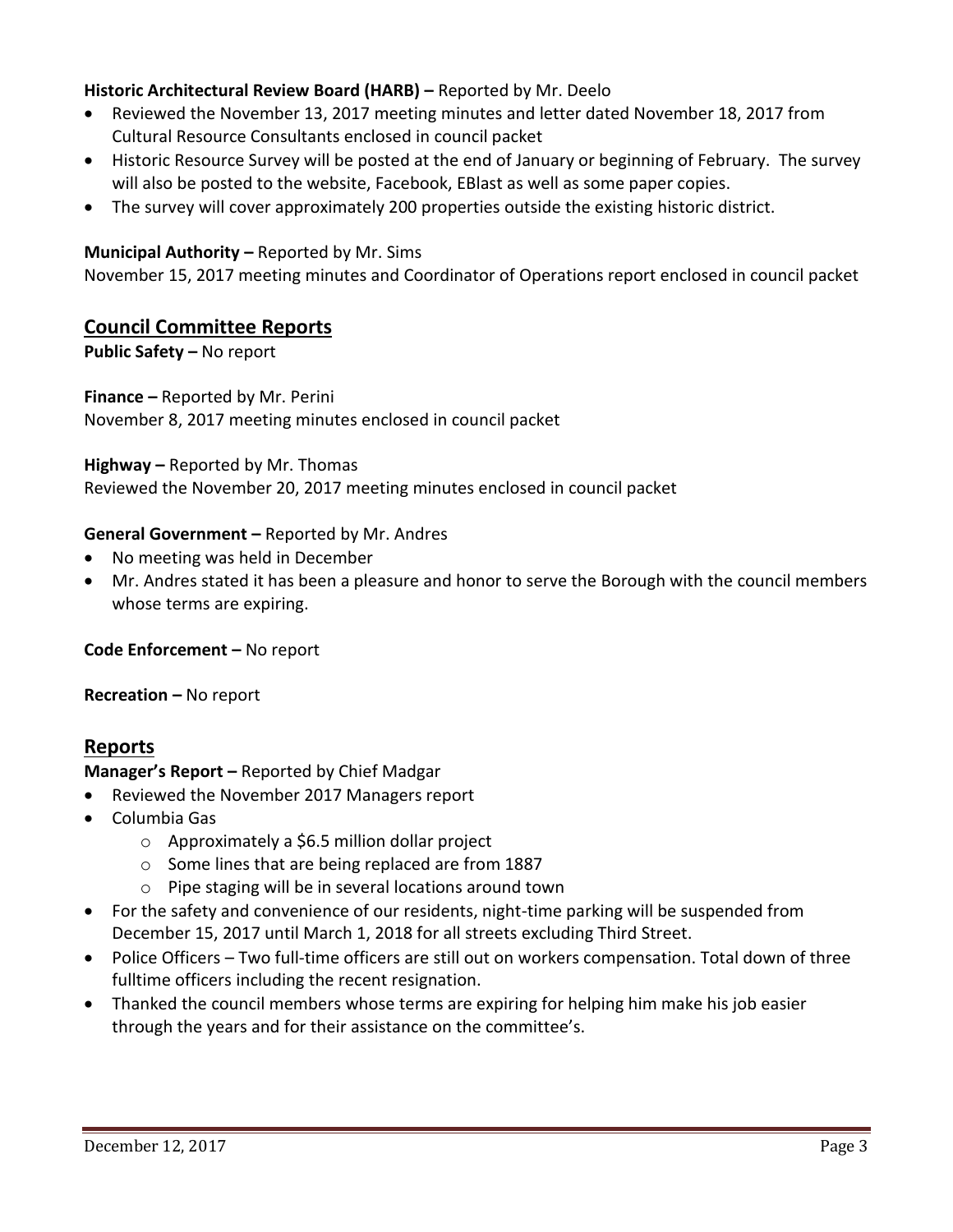# **Historic Architectural Review Board (HARB) –** Reported by Mr. Deelo

- Reviewed the November 13, 2017 meeting minutes and letter dated November 18, 2017 from Cultural Resource Consultants enclosed in council packet
- Historic Resource Survey will be posted at the end of January or beginning of February. The survey will also be posted to the website, Facebook, EBlast as well as some paper copies.
- The survey will cover approximately 200 properties outside the existing historic district.

# **Municipal Authority – Reported by Mr. Sims**

November 15, 2017 meeting minutes and Coordinator of Operations report enclosed in council packet

# **Council Committee Reports**

**Public Safety –** No report

#### **Finance –** Reported by Mr. Perini

November 8, 2017 meeting minutes enclosed in council packet

#### **Highway –** Reported by Mr. Thomas

Reviewed the November 20, 2017 meeting minutes enclosed in council packet

#### **General Government –** Reported by Mr. Andres

- No meeting was held in December
- Mr. Andres stated it has been a pleasure and honor to serve the Borough with the council members whose terms are expiring.

**Code Enforcement –** No report

**Recreation –** No report

# **Reports**

**Manager's Report –** Reported by Chief Madgar

- Reviewed the November 2017 Managers report
- Columbia Gas
	- o Approximately a \$6.5 million dollar project
	- o Some lines that are being replaced are from 1887
	- o Pipe staging will be in several locations around town
- For the safety and convenience of our residents, night-time parking will be suspended from December 15, 2017 until March 1, 2018 for all streets excluding Third Street.
- Police Officers Two full-time officers are still out on workers compensation. Total down of three fulltime officers including the recent resignation.
- Thanked the council members whose terms are expiring for helping him make his job easier through the years and for their assistance on the committee's.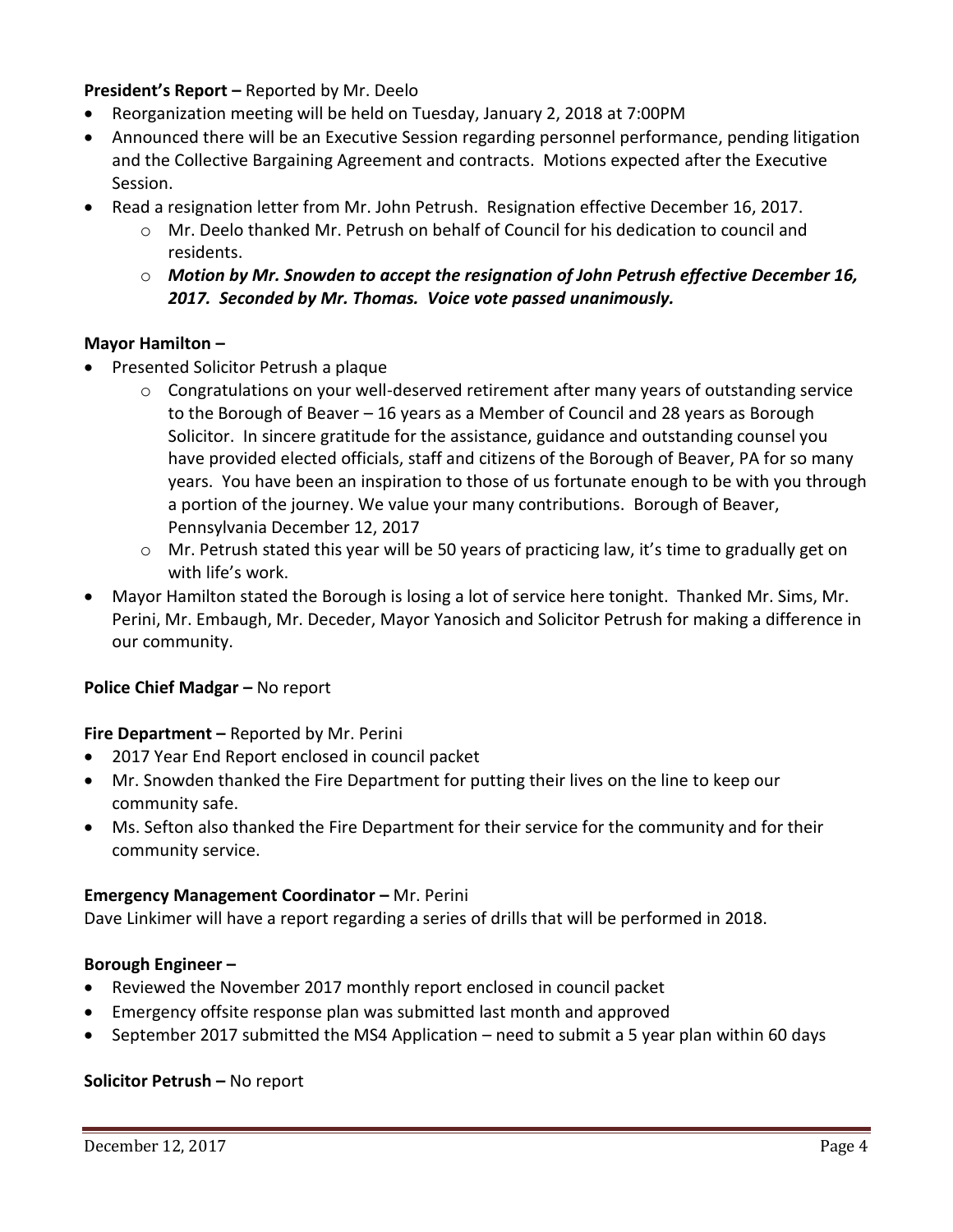**President's Report –** Reported by Mr. Deelo

- Reorganization meeting will be held on Tuesday, January 2, 2018 at 7:00PM
- Announced there will be an Executive Session regarding personnel performance, pending litigation and the Collective Bargaining Agreement and contracts. Motions expected after the Executive Session.
- Read a resignation letter from Mr. John Petrush. Resignation effective December 16, 2017.
	- o Mr. Deelo thanked Mr. Petrush on behalf of Council for his dedication to council and residents.
	- o *Motion by Mr. Snowden to accept the resignation of John Petrush effective December 16, 2017. Seconded by Mr. Thomas. Voice vote passed unanimously.*

# **Mayor Hamilton –**

- Presented Solicitor Petrush a plaque
	- o Congratulations on your well-deserved retirement after many years of outstanding service to the Borough of Beaver – 16 years as a Member of Council and 28 years as Borough Solicitor. In sincere gratitude for the assistance, guidance and outstanding counsel you have provided elected officials, staff and citizens of the Borough of Beaver, PA for so many years. You have been an inspiration to those of us fortunate enough to be with you through a portion of the journey. We value your many contributions. Borough of Beaver, Pennsylvania December 12, 2017
	- $\circ$  Mr. Petrush stated this year will be 50 years of practicing law, it's time to gradually get on with life's work.
- Mayor Hamilton stated the Borough is losing a lot of service here tonight. Thanked Mr. Sims, Mr. Perini, Mr. Embaugh, Mr. Deceder, Mayor Yanosich and Solicitor Petrush for making a difference in our community.

# **Police Chief Madgar – No report**

# **Fire Department –** Reported by Mr. Perini

- 2017 Year End Report enclosed in council packet
- Mr. Snowden thanked the Fire Department for putting their lives on the line to keep our community safe.
- Ms. Sefton also thanked the Fire Department for their service for the community and for their community service.

# **Emergency Management Coordinator - Mr. Perini**

Dave Linkimer will have a report regarding a series of drills that will be performed in 2018.

# **Borough Engineer –**

- Reviewed the November 2017 monthly report enclosed in council packet
- Emergency offsite response plan was submitted last month and approved
- September 2017 submitted the MS4 Application need to submit a 5 year plan within 60 days

# **Solicitor Petrush –** No report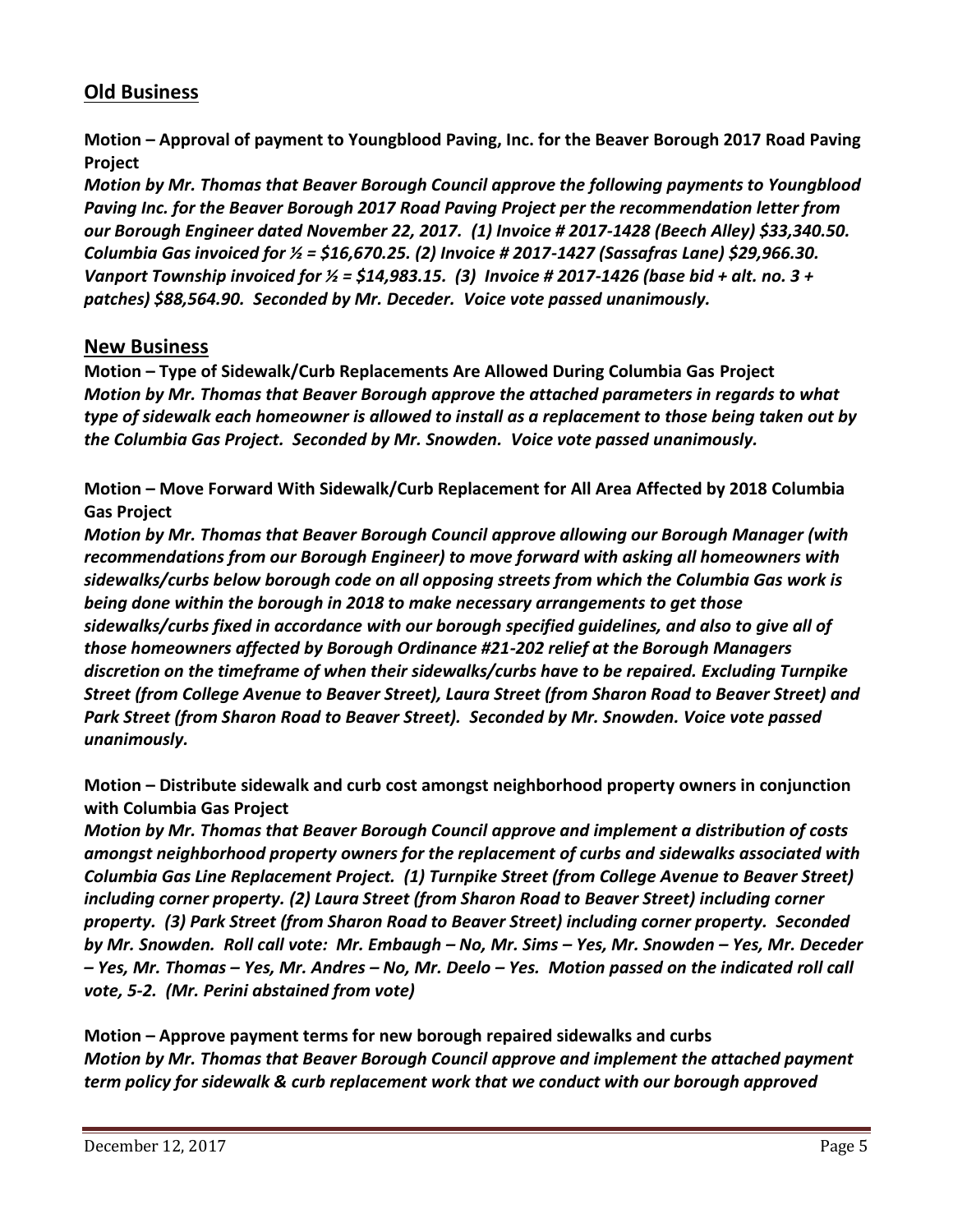# **Old Business**

**Motion – Approval of payment to Youngblood Paving, Inc. for the Beaver Borough 2017 Road Paving Project**

*Motion by Mr. Thomas that Beaver Borough Council approve the following payments to Youngblood Paving Inc. for the Beaver Borough 2017 Road Paving Project per the recommendation letter from our Borough Engineer dated November 22, 2017. (1) Invoice # 2017-1428 (Beech Alley) \$33,340.50. Columbia Gas invoiced for ½ = \$16,670.25. (2) Invoice # 2017-1427 (Sassafras Lane) \$29,966.30. Vanport Township invoiced for ½ = \$14,983.15. (3) Invoice # 2017-1426 (base bid + alt. no. 3 + patches) \$88,564.90. Seconded by Mr. Deceder. Voice vote passed unanimously.*

# **New Business**

**Motion – Type of Sidewalk/Curb Replacements Are Allowed During Columbia Gas Project** *Motion by Mr. Thomas that Beaver Borough approve the attached parameters in regards to what type of sidewalk each homeowner is allowed to install as a replacement to those being taken out by the Columbia Gas Project. Seconded by Mr. Snowden. Voice vote passed unanimously.*

**Motion – Move Forward With Sidewalk/Curb Replacement for All Area Affected by 2018 Columbia Gas Project**

*Motion by Mr. Thomas that Beaver Borough Council approve allowing our Borough Manager (with recommendations from our Borough Engineer) to move forward with asking all homeowners with sidewalks/curbs below borough code on all opposing streets from which the Columbia Gas work is being done within the borough in 2018 to make necessary arrangements to get those sidewalks/curbs fixed in accordance with our borough specified guidelines, and also to give all of those homeowners affected by Borough Ordinance #21-202 relief at the Borough Managers discretion on the timeframe of when their sidewalks/curbs have to be repaired. Excluding Turnpike Street (from College Avenue to Beaver Street), Laura Street (from Sharon Road to Beaver Street) and Park Street (from Sharon Road to Beaver Street). Seconded by Mr. Snowden. Voice vote passed unanimously.*

**Motion – Distribute sidewalk and curb cost amongst neighborhood property owners in conjunction with Columbia Gas Project**

*Motion by Mr. Thomas that Beaver Borough Council approve and implement a distribution of costs amongst neighborhood property owners for the replacement of curbs and sidewalks associated with Columbia Gas Line Replacement Project. (1) Turnpike Street (from College Avenue to Beaver Street) including corner property. (2) Laura Street (from Sharon Road to Beaver Street) including corner property. (3) Park Street (from Sharon Road to Beaver Street) including corner property. Seconded by Mr. Snowden. Roll call vote: Mr. Embaugh – No, Mr. Sims – Yes, Mr. Snowden – Yes, Mr. Deceder – Yes, Mr. Thomas – Yes, Mr. Andres – No, Mr. Deelo – Yes. Motion passed on the indicated roll call vote, 5-2. (Mr. Perini abstained from vote)*

**Motion – Approve payment terms for new borough repaired sidewalks and curbs** *Motion by Mr. Thomas that Beaver Borough Council approve and implement the attached payment term policy for sidewalk & curb replacement work that we conduct with our borough approved*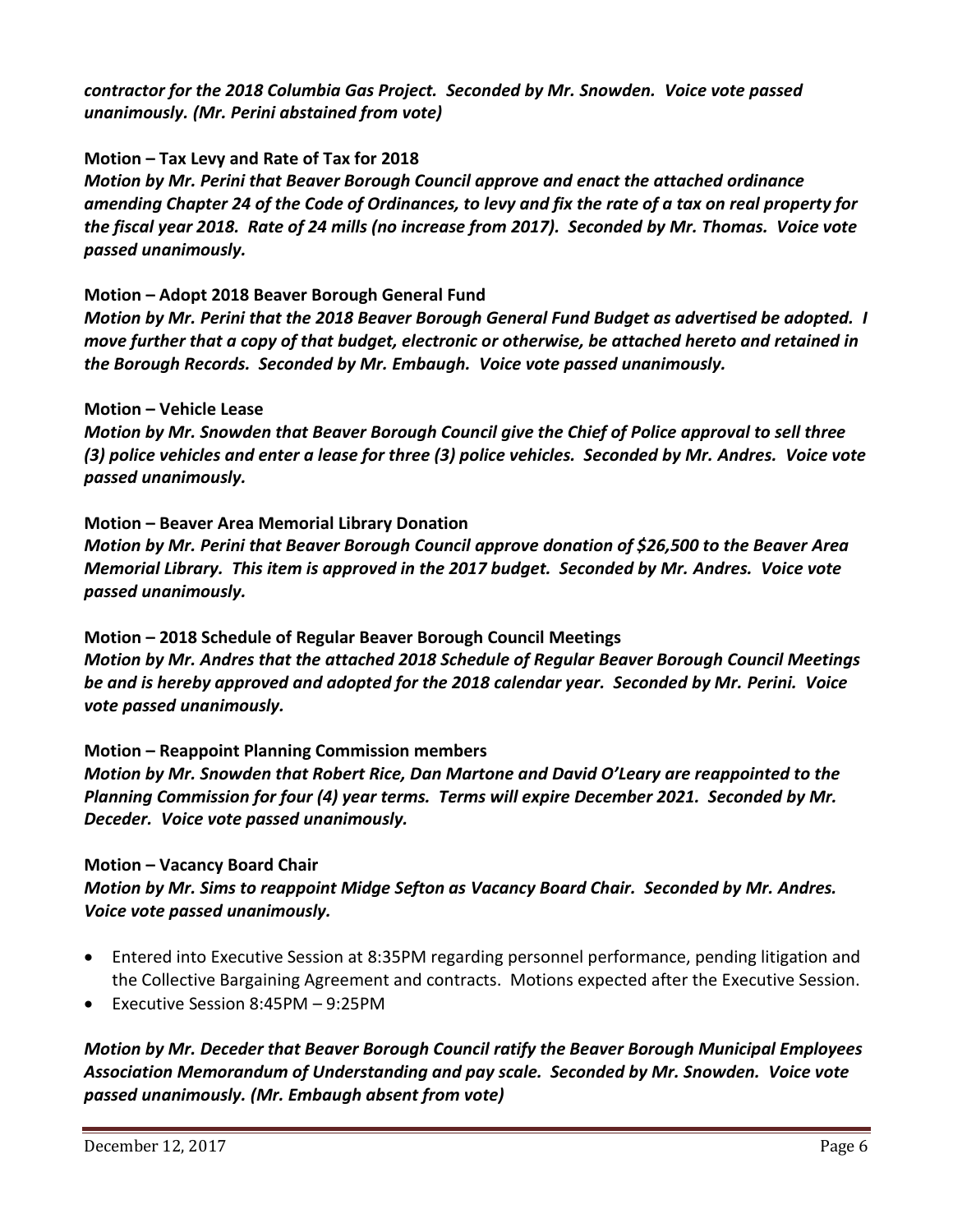*contractor for the 2018 Columbia Gas Project. Seconded by Mr. Snowden. Voice vote passed unanimously. (Mr. Perini abstained from vote)*

**Motion – Tax Levy and Rate of Tax for 2018**

*Motion by Mr. Perini that Beaver Borough Council approve and enact the attached ordinance amending Chapter 24 of the Code of Ordinances, to levy and fix the rate of a tax on real property for the fiscal year 2018. Rate of 24 mills (no increase from 2017). Seconded by Mr. Thomas. Voice vote passed unanimously.*

# **Motion – Adopt 2018 Beaver Borough General Fund**

*Motion by Mr. Perini that the 2018 Beaver Borough General Fund Budget as advertised be adopted. I move further that a copy of that budget, electronic or otherwise, be attached hereto and retained in the Borough Records. Seconded by Mr. Embaugh. Voice vote passed unanimously.*

# **Motion – Vehicle Lease**

*Motion by Mr. Snowden that Beaver Borough Council give the Chief of Police approval to sell three (3) police vehicles and enter a lease for three (3) police vehicles. Seconded by Mr. Andres. Voice vote passed unanimously.*

**Motion – Beaver Area Memorial Library Donation** *Motion by Mr. Perini that Beaver Borough Council approve donation of \$26,500 to the Beaver Area Memorial Library. This item is approved in the 2017 budget. Seconded by Mr. Andres. Voice vote passed unanimously.*

**Motion – 2018 Schedule of Regular Beaver Borough Council Meetings** *Motion by Mr. Andres that the attached 2018 Schedule of Regular Beaver Borough Council Meetings be and is hereby approved and adopted for the 2018 calendar year. Seconded by Mr. Perini. Voice vote passed unanimously.*

# **Motion – Reappoint Planning Commission members**

*Motion by Mr. Snowden that Robert Rice, Dan Martone and David O'Leary are reappointed to the Planning Commission for four (4) year terms. Terms will expire December 2021. Seconded by Mr. Deceder. Voice vote passed unanimously.*

# **Motion – Vacancy Board Chair**

*Motion by Mr. Sims to reappoint Midge Sefton as Vacancy Board Chair. Seconded by Mr. Andres. Voice vote passed unanimously.*

- Entered into Executive Session at 8:35PM regarding personnel performance, pending litigation and the Collective Bargaining Agreement and contracts. Motions expected after the Executive Session.
- Executive Session 8:45PM 9:25PM

*Motion by Mr. Deceder that Beaver Borough Council ratify the Beaver Borough Municipal Employees Association Memorandum of Understanding and pay scale. Seconded by Mr. Snowden. Voice vote passed unanimously. (Mr. Embaugh absent from vote)*